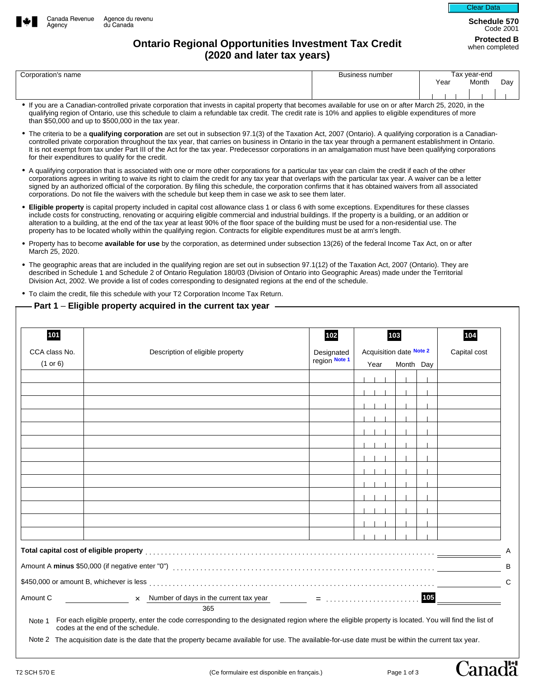



**Schedule 570**  Code 2001

## **Protected B Ontario Regional Opportunities Investment Tax Credit Protected B Area Credit (2020 and later tax years)**

| Corporation's name | <b>Business number</b> | Tax vear-end |       |    |
|--------------------|------------------------|--------------|-------|----|
|                    |                        | Year         | Month | Da |
|                    |                        |              |       |    |

- If you are a Canadian-controlled private corporation that invests in capital property that becomes available for use on or after March 25, 2020, in the qualifying region of Ontario, use this schedule to claim a refundable tax credit. The credit rate is 10% and applies to eligible expenditures of more than \$50,000 and up to \$500,000 in the tax year.
- The criteria to be a **qualifying corporation** are set out in subsection 97.1(3) of the Taxation Act, 2007 (Ontario). A qualifying corporation is a Canadiancontrolled private corporation throughout the tax year, that carries on business in Ontario in the tax year through a permanent establishment in Ontario. It is not exempt from tax under Part III of the Act for the tax year. Predecessor corporations in an amalgamation must have been qualifying corporations for their expenditures to qualify for the credit.
- A qualifying corporation that is associated with one or more other corporations for a particular tax year can claim the credit if each of the other corporations agrees in writing to waive its right to claim the credit for any tax year that overlaps with the particular tax year. A waiver can be a letter signed by an authorized official of the corporation. By filing this schedule, the corporation confirms that it has obtained waivers from all associated corporations. Do not file the waivers with the schedule but keep them in case we ask to see them later.
- **Eligible property** is capital property included in capital cost allowance class 1 or class 6 with some exceptions. Expenditures for these classes include costs for constructing, renovating or acquiring eligible commercial and industrial buildings. If the property is a building, or an addition or alteration to a building, at the end of the tax year at least 90% of the floor space of the building must be used for a non-residential use. The property has to be located wholly within the qualifying region. Contracts for eligible expenditures must be at arm's length.
- Property has to become **available for use** by the corporation, as determined under subsection 13(26) of the federal Income Tax Act, on or after March 25, 2020.
- The geographic areas that are included in the qualifying region are set out in subsection 97.1(12) of the Taxation Act, 2007 (Ontario). They are described in Schedule 1 and Schedule 2 of Ontario Regulation 180/03 (Division of Ontario into Geographic Areas) made under the Territorial Division Act, 2002. We provide a list of codes corresponding to designated regions at the end of the schedule.

• To claim the credit, file this schedule with your T2 Corporation Income Tax Return.

## **Part 1** – **Eligible property acquired in the current tax year**

| 101                                           |                                  | 102        | 103<br>Acquisition date Note 2 |           |  | 104<br>Capital cost |                         |
|-----------------------------------------------|----------------------------------|------------|--------------------------------|-----------|--|---------------------|-------------------------|
| CCA class No.                                 | Description of eligible property | Designated |                                |           |  |                     |                         |
| (1 or 6)                                      |                                  |            | region Note 1<br>Year          | Month Day |  |                     |                         |
| $\blacktriangledown$                          |                                  |            |                                |           |  |                     |                         |
| $\overline{\phantom{a}}$                      |                                  |            |                                |           |  |                     |                         |
| $\overline{\phantom{0}}$                      |                                  |            |                                |           |  |                     |                         |
| ▼                                             |                                  |            |                                |           |  |                     |                         |
| $\blacktriangledown$                          |                                  |            |                                |           |  |                     |                         |
| $\blacktriangledown$                          |                                  |            |                                |           |  |                     |                         |
| $\overline{\mathbf{v}}$                       |                                  |            |                                |           |  |                     |                         |
| $\overline{\phantom{0}}$                      |                                  |            |                                |           |  |                     |                         |
| $\overline{\phantom{0}}$                      |                                  |            |                                |           |  |                     |                         |
| $\overline{\phantom{0}}$                      |                                  |            |                                |           |  |                     |                         |
| $\blacktriangledown$                          |                                  |            |                                |           |  |                     |                         |
| $\overline{\phantom{0}}$                      |                                  |            |                                |           |  |                     |                         |
| $\blacksquare$                                |                                  |            |                                |           |  |                     |                         |
|                                               |                                  |            |                                |           |  |                     |                         |
|                                               |                                  |            |                                |           |  |                     |                         |
|                                               |                                  |            |                                |           |  |                     |                         |
| Amount C<br><u>and the state of the state</u> |                                  |            |                                |           |  | 105                 | <u> 1999 - Jan Jawa</u> |
|                                               | 365                              |            |                                |           |  |                     |                         |

Note 1 For each eligible property, enter the code corresponding to the designated region where the eligible property is located. You will find the list of codes at the end of the schedule.

Note 2 The acquisition date is the date that the property became available for use. The available-for-use date must be within the current tax year.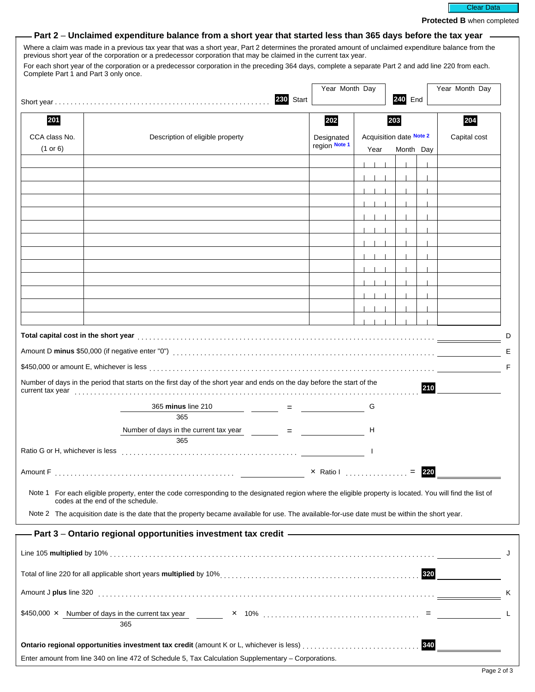

**Protected B** when completed

|  |  | – Part 2 – Unclaimed expenditure balance from a short year that started less than 365 days before the tax year |  |
|--|--|----------------------------------------------------------------------------------------------------------------|--|
|--|--|----------------------------------------------------------------------------------------------------------------|--|

Where a claim was made in a previous tax year that was a short year, Part 2 determines the prorated amount of unclaimed expenditure balance from the previous short year of the corporation or a predecessor corporation that may be claimed in the current tax year.

For each short year of the corporation or a predecessor corporation in the preceding 364 days, complete a separate Part 2 and add line 220 from each. Complete Part 1 and Part 3 only once.

|                                             |                                                                                                                                                                                                                                |              | Year Month Day |                         | Year Month Day |     |              |
|---------------------------------------------|--------------------------------------------------------------------------------------------------------------------------------------------------------------------------------------------------------------------------------|--------------|----------------|-------------------------|----------------|-----|--------------|
|                                             |                                                                                                                                                                                                                                | 230<br>Start |                |                         | 240 End        |     |              |
| 201                                         |                                                                                                                                                                                                                                |              | 202            | 204<br>203              |                |     |              |
| CCA class No.                               | Description of eligible property                                                                                                                                                                                               |              | Designated     | Acquisition date Note 2 |                |     | Capital cost |
| (1 or 6)                                    |                                                                                                                                                                                                                                |              | region Note 1  | Year                    | Month Day      |     |              |
| $\boxed{\blacktriangleright}$               |                                                                                                                                                                                                                                |              |                |                         |                |     |              |
| $\blacktriangledown$                        |                                                                                                                                                                                                                                |              |                |                         |                |     |              |
| $\blacktriangledown$                        |                                                                                                                                                                                                                                |              |                |                         |                |     |              |
| $\blacktriangledown$                        |                                                                                                                                                                                                                                |              |                |                         |                |     |              |
| $\overline{\phantom{0}}$                    |                                                                                                                                                                                                                                |              |                |                         |                |     |              |
| $\blacktriangledown$                        |                                                                                                                                                                                                                                |              |                |                         |                |     |              |
| $\blacktriangledown$                        |                                                                                                                                                                                                                                |              |                |                         |                |     |              |
| $\blacktriangledown$                        |                                                                                                                                                                                                                                |              |                |                         |                |     |              |
| $\overline{\phantom{0}}$                    |                                                                                                                                                                                                                                |              |                |                         |                |     |              |
| $\blacktriangledown$                        |                                                                                                                                                                                                                                |              |                |                         |                |     |              |
| $\blacktriangledown$                        |                                                                                                                                                                                                                                |              |                |                         |                |     |              |
| $\blacktriangledown$                        |                                                                                                                                                                                                                                |              |                |                         |                |     |              |
| $\vert \vert$                               |                                                                                                                                                                                                                                |              |                |                         |                |     |              |
|                                             | Number of days in the period that starts on the first day of the short year and ends on the day before the start of the                                                                                                        |              |                |                         |                | 210 |              |
|                                             | 365 minus line 210<br>365                                                                                                                                                                                                      |              |                | G                       |                |     |              |
|                                             | Number of days in the current tax year $=$ $=$ $=$<br>365                                                                                                                                                                      |              |                | н                       |                |     |              |
|                                             |                                                                                                                                                                                                                                |              |                |                         |                |     |              |
| Amount F                                    |                                                                                                                                                                                                                                |              | × Ratio I      |                         |                |     |              |
| Note 1<br>codes at the end of the schedule. | For each eligible property, enter the code corresponding to the designated region where the eligible property is located. You will find the list of                                                                            |              |                |                         |                |     |              |
|                                             | Note 2 The acquisition date is the date that the property became available for use. The available-for-use date must be within the short year.                                                                                  |              |                |                         |                |     |              |
|                                             | - Part 3 – Ontario regional opportunities investment tax credit ————————————————————                                                                                                                                           |              |                |                         |                |     |              |
|                                             |                                                                                                                                                                                                                                |              |                |                         |                |     |              |
|                                             |                                                                                                                                                                                                                                |              |                |                         |                |     |              |
|                                             | Total of line 220 for all applicable short years multiplied by 10% entitled and contain and contained and and the state of the state of the state of the state of the state of the state of the state of the state of the stat |              |                |                         |                |     |              |
|                                             |                                                                                                                                                                                                                                |              |                |                         |                |     |              |
|                                             |                                                                                                                                                                                                                                |              |                |                         |                |     |              |
|                                             | 365                                                                                                                                                                                                                            |              |                |                         |                |     |              |
|                                             |                                                                                                                                                                                                                                |              |                |                         |                | 340 |              |